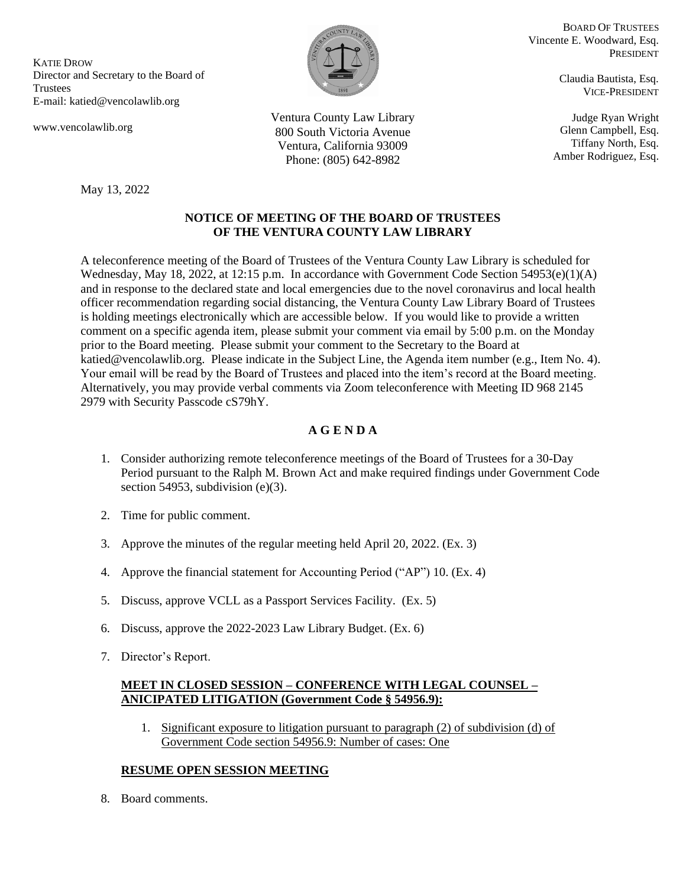KATIE DROW Director and Secretary to the Board of Trustees E-mail: katied@vencolawlib.org

May 13, 2022

www.vencolawlib.org

BOARD OF TRUSTEES Vincente E. Woodward, Esq. PRESIDENT

> Claudia Bautista, Esq. VICE-PRESIDENT

Judge Ryan Wright Glenn Campbell, Esq. Tiffany North, Esq. Amber Rodriguez, Esq.

Ventura County Law Library 800 South Victoria Avenue Ventura, California 93009 Phone: (805) 642-8982

# **NOTICE OF MEETING OF THE BOARD OF TRUSTEES OF THE VENTURA COUNTY LAW LIBRARY**

A teleconference meeting of the Board of Trustees of the Ventura County Law Library is scheduled for Wednesday, May 18, 2022, at 12:15 p.m. In accordance with Government Code Section 54953(e)(1)(A) and in response to the declared state and local emergencies due to the novel coronavirus and local health officer recommendation regarding social distancing, the Ventura County Law Library Board of Trustees is holding meetings electronically which are accessible below. If you would like to provide a written comment on a specific agenda item, please submit your comment via email by 5:00 p.m. on the Monday prior to the Board meeting. Please submit your comment to the Secretary to the Board at katied@vencolawlib.org. Please indicate in the Subject Line, the Agenda item number (e.g., Item No. 4). Your email will be read by the Board of Trustees and placed into the item's record at the Board meeting. Alternatively, you may provide verbal comments via Zoom teleconference with Meeting ID 968 2145 2979 with Security Passcode cS79hY.

# **A G E N D A**

- 1. Consider authorizing remote teleconference meetings of the Board of Trustees for a 30-Day Period pursuant to the Ralph M. Brown Act and make required findings under Government Code section 54953, subdivision (e)(3).
- 2. Time for public comment.
- 3. Approve the minutes of the regular meeting held April 20, 2022. (Ex. 3)
- 4. Approve the financial statement for Accounting Period ("AP") 10. (Ex. 4)
- 5. Discuss, approve VCLL as a Passport Services Facility. (Ex. 5)
- 6. Discuss, approve the 2022-2023 Law Library Budget. (Ex. 6)
- 7. Director's Report.

## **MEET IN CLOSED SESSION – CONFERENCE WITH LEGAL COUNSEL – ANICIPATED LITIGATION (Government Code § 54956.9):**

1. Significant exposure to litigation pursuant to paragraph (2) of subdivision (d) of Government Code section 54956.9: Number of cases: One

# **RESUME OPEN SESSION MEETING**

8. Board comments.